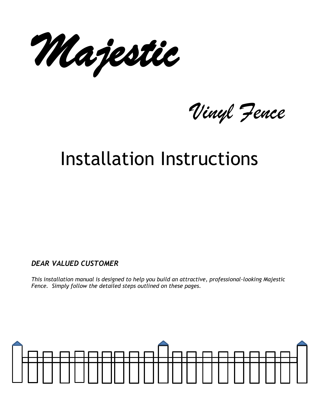Majestic

Vinyl Fence

# Installation Instructions

*DEAR VALUED CUSTOMER* 

*This installation manual is designed to help you build an attractive, professional-looking Majestic Fence. Simply follow the detailed steps outlined on these pages.* 

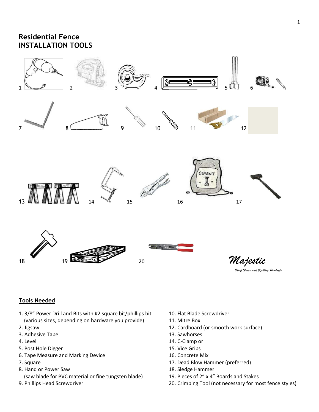# **Residential Fence INSTALLATION TOOLS**



Majestic

## **Tools Needed**

- 1. 3/8" Power Drill and Bits with #2 square bit/phillips bit 10. Flat Blade Screwdriver (various sizes, depending on hardware you provide) 11. Mitre Box
- 
- 3. Adhesive Tape 13. Sawhorses
- 
- 5. Post Hole Digger 15. Vice Grips
- 6. Tape Measure and Marking Device 16. Concrete Mix
- 
- 8. Hand or Power Saw 18. Sledge Hammer
- (saw blade for PVC material or fine tungsten blade) 19. Pieces of 2" x 4" Boards and Stakes
- 
- 
- 
- 2. Jigsaw 12. Cardboard (or smooth work surface)
	-
- 4. Level 14. C-Clamp or
	-
	-
- 7. Square 17. Dead Blow Hammer (preferred)
	-
	-
- 9. Phillips Head Screwdriver 20. Crimping Tool (not necessary for most fence styles)

Vinyl Fence and Railing Products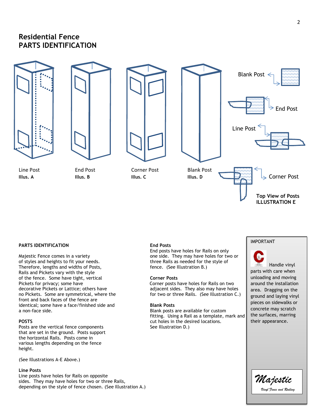# **Residential Fence PARTS IDENTIFICATION**









#### **PARTS IDENTIFICATION End Posts**

Majestic Fence comes in a variety **one side.** They may have holes for two or of styles and heights to fit your needs.<br>
Therefore, lengths and widths of Posts,<br>
fence. (See Illustration B.) Therefore, lengths and widths of Posts, Rails and Pickets vary with the style of the fence. Some have tight, vertical **Corner Posts**  Pickets for privacy; some have example and the Corner posts have holes for Rails on two decorative Pickets or Lattice; others have example and adjacent sides. They also may have hole decorative Pickets or Lattice; others have adjacent sides. They also may have holes<br>no Pickets. Some are symmetrical, where the for two or three Rails. (See Illustration C. front and back faces of the fence are identical; some have a face/finished side and **Blank Posts** 

Posts are the vertical fence components that are set in the ground. Posts support the horizontal Rails. Posts come in various lengths depending on the fence height.

(See Illustrations A-E Above.)

#### **Line Posts**

Line posts have holes for Rails on opposite sides. They may have holes for two or three Rails, depending on the style of fence chosen. (See Illustration A.)

End posts have holes for Rails on only

for two or three Rails. (See Illustration C.)

Blank posts are available for custom fitting. Using a Rail as a template, mark and **POSTS** extended to the desired locations. cut holes in the desired locations.<br>See Illustration D.)

### IMPORTANT

 Handle vinyl parts with care when unloading and moving around the installation area. Dragging on the ground and laying vinyl pieces on sidewalks or concrete may scratch the surfaces, marring their appearance.

 **ILLUSTRATION E**

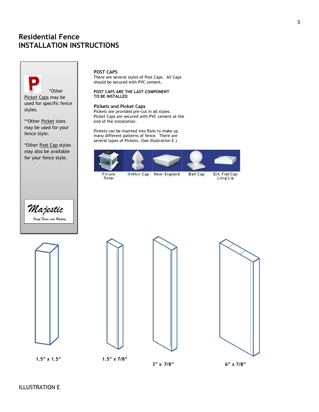

may also be available for your fence style.

I



#### **POST CAPS**

There are several styles of Post Caps. All Caps should be secured with PVC cement.

#### **POST CAPS ARE THE LAST COMPONENT TO BE INSTALLED**

#### **Pickets and Picket Caps**

Pickets are provided pre-cut in all styles. Picket Caps are secured with PVC cement at the end of the installation.

Pickets can be inserted into Rails to make up many different patterns of fence. There are several types of Pickets. (See Illustration E.)



Solar









 **1.5" x 1.5" 1.5" x 7/8"**

 **3" x 7/8" 6" x 7/8"**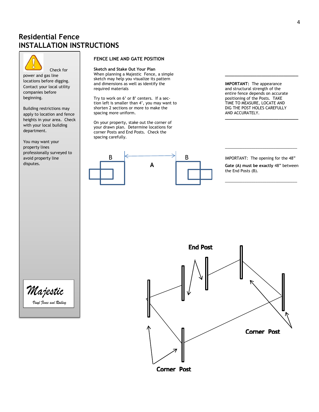

beginning.

 Check for power and gas line locations before digging. Contact your local utility companies before

| heights in your area. Check | and contains the second section of the second section of the second section of the second section of the second section of the second section of the second section of the second section of t Building restrictions may with your local building department.

 $\Box$  property lines  $\Box$ You may want your property lines professionally surveyed to avoid property line disputes.

### **FENCE LINE AND GATE POSITION**

**Sketch and Stake Out Your Plan**  When planning a Majestic Fence, a simple sketch may help you visualize its pattern and dimensions as well as identify the **IMPORTANT:** The appearance required materials **IMPORTANT:** The appearance

Try to work on 6' or 8' centers. If a sec-<br>
tion left is smaller than 4', you may want to **process and TIME TO MEASURE, LOCATE AND** tion left is smaller than 4', you may want to TIME TO MEASURE, LOCATE AND<br>shorten 2 sections or more to make the DIG THE POST HOLES CAREFULLY shorten 2 sections or more to make the DIG THE POST HOLI<br>spacing more uniform. CAREFULLY AND ACCURATELY. apply to location and fence the spacing more uniform. The spacing more uniform and the spacing the spacing more uniform.

> On your property, stake out the corner of your drawn plan. Determine locations for corner Posts and End Posts. Check the spacing carefully.



and structural strength of the entire fence depends on accurate

**A Gate (A) must be exactly** 48" between the End Posts (B).

\_\_\_\_\_\_\_\_\_\_\_\_\_\_\_\_\_\_\_\_\_\_\_\_\_\_\_\_\_\_\_\_\_



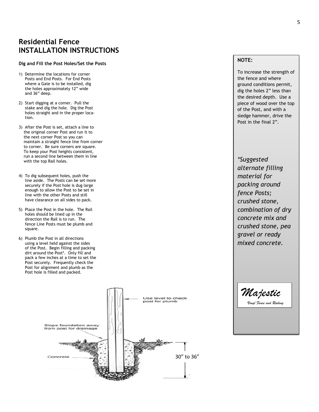#### **Dig and Fill the Post Holes/Set the Posts**

- 1) Determine the locations for corner Posts and End Posts. For End Posts where a Gate is to be installed, dig the holes approximately 12" wide and 36" deep.
- 2) Start digging at a corner. Pull the stake and dig the hole. Dig the Post holes straight and in the proper loca tion.
- 3) After the Post is set, attach a line to the original corner Post and run it to the next corner Post so you can maintain a straight fence line from corner to corner. Be sure corners are square. To keep your Post heights consistent, run a second line between them in line with the top Rail holes.
- 4) To dig subsequent holes, push the line aside. The Posts can be set more securely if the Post hole is dug large enough to allow the Post to be set in line with the other Posts and still have clearance on all sides to pack.
- 5) Place the Post in the hole. The Rail holes should be lined up in the direction the Rail is to run. The fence Line Posts must be plumb and square.
- 6) Plumb the Post in all directions using a level held against the sides of the Post. Begin filling and packing dirt around the Post\*. Only fill and pack a few inches at a time to set the Post securely. Frequently check the Post for alignment and plumb as the Post hole is filled and packed.



### **NOTE:**

To increase the strength of the fence and where ground conditions permit, dig the holes 2" less than the desired depth. Use a piece of wood over the top of the Post, and with a sledge hammer, drive the Post in the final 2".

*\*Suggested alternate filling material for packing around fence Posts; crushed stone, combination of dry concrete mix and crushed stone, pea gravel or ready mixed concrete.* 

Majestic

Vinyl Fence and Railing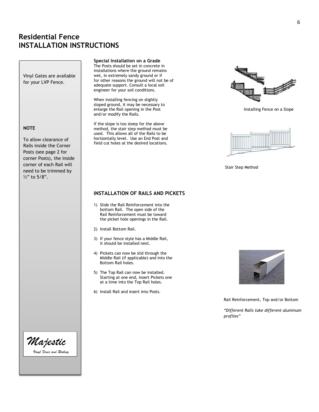Vinyl Gates are available for your LVP Fence.

#### **NOTE**

To allow clearance of Rails inside the Corner Posts (see page 2 for corner Posts), the inside corner of each Rail will need to be trimmed by ½" to 5/8".

#### **Special Installation on a Grade**

The Posts should be set in concrete in installations where the ground remains wet, in extremely sandy ground or if for other reasons the ground will not be of adequate support. Consult a local soil engineer for your soil conditions.

 When installing fencing on slightly sloped ground, it may be necessary to enlarge the Rail opening in the Post **Installing Fence on a Slope** Installing Fence on a Slope and/or modify the Rails.

 If the slope is too steep for the above method, the stair step method must be used. This allows all of the Rails to be horizontally level. Use an End Post and field cut holes at the desired locations.

### **INSTALLATION OF RAILS AND PICKETS**

- 1) Slide the Rail Reinforcement into the bottom Rail. The open side of the Rail Reinforcement must be toward the picket hole openings in the Rail.
- 2) Install Bottom Rail.
- 3) If your fence style has a Middle Rail, it should be installed next.
- 4) Pickets can now be slid through the Middle Rail (if applicable) and into the Bottom Rail holes.
- 5) The Top Rail can now be installed. Starting at one end, insert Pickets one at a time into the Top Rail holes.
- 6) Install Rail and insert into Posts.





Stair Step Method



Rail Reinforcement, Top and/or Bottom

*"Different Rails take different aluminum profiles"*

6

Majestic Vinyl Fence and Railing